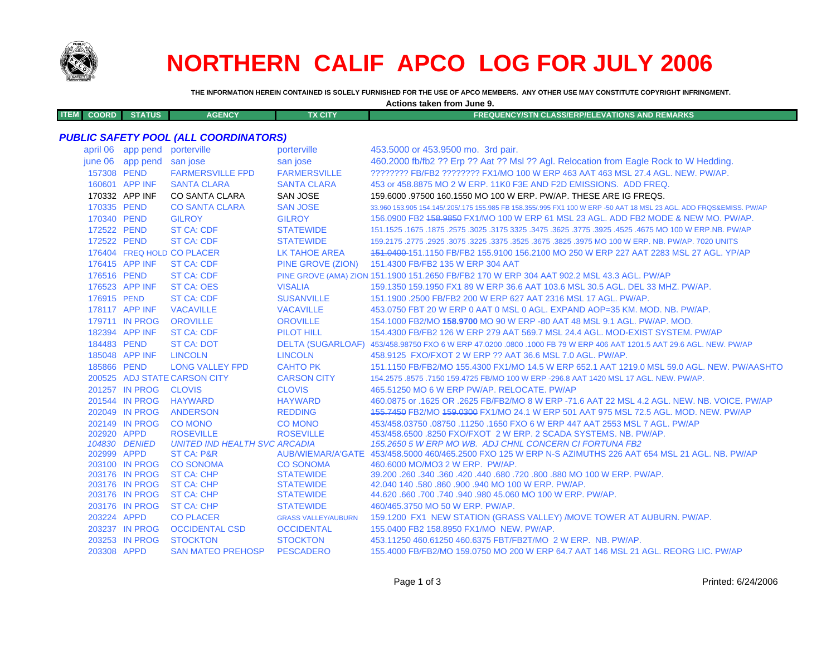

# **NORTHERN CALIF APCO LOG FOR JULY 2006**

**THE INFORMATION HEREIN CONTAINED IS SOLELY FURNISHED FOR THE USE OF APCO MEMBERS. ANY OTHER USE MAY CONSTITUTE COPYRIGHT INFRINGMENT.**

**Actions taken from June 9.**

| <b>ITEM</b> | COORD I | <b>STATUS</b> | <b>AGENCY</b> | <b>TX CITY</b> | <b>FREQUENCY/STN CLASS/ERP/ELEVATIONS AND REMARKS</b> |
|-------------|---------|---------------|---------------|----------------|-------------------------------------------------------|
|             |         |               |               |                |                                                       |

# *PUBLIC SAFETY POOL (ALL COORDINATORS)*

| april 06    | app pend                         | porterville                            | porterville                          | 453.5000 or 453.9500 mo. 3rd pair.                                                                                  |
|-------------|----------------------------------|----------------------------------------|--------------------------------------|---------------------------------------------------------------------------------------------------------------------|
|             | june 06 app pend san jose        |                                        | san jose                             | 460.2000 fb/fb2 ?? Erp ?? Aat ?? MsI ?? Agl. Relocation from Eagle Rock to W Hedding.                               |
| 157308 PEND |                                  | <b>FARMERSVILLE FPD</b>                | <b>FARMERSVILLE</b>                  | ???????? FB/FB2 ??????? FX1/MO 100 W ERP 463 AAT 463 MSL 27.4 AGL. NEW. PW/AP.                                      |
|             | 160601 APP INF                   | <b>SANTA CLARA</b>                     | <b>SANTA CLARA</b>                   | 453 or 458,8875 MO 2 W ERP, 11K0 F3E AND F2D EMISSIONS. ADD FREQ.                                                   |
|             | 170332 APP INF                   | CO SANTA CLARA                         | <b>SAN JOSE</b>                      | 159,6000 .97500 160,1550 MO 100 W ERP, PW/AP, THESE ARE IG FREQS.                                                   |
| 170335 PEND |                                  | <b>CO SANTA CLARA</b>                  | <b>SAN JOSE</b>                      | 33,960 153,905 154,145/,205/,175 155,985 FB 158,355/,995 FX1 100 W ERP -50 AAT 18 MSL 23 AGL. ADD FRQS&EMISS, PW/AP |
| 170340 PEND |                                  | <b>GILROY</b>                          | <b>GILROY</b>                        | 156.0900 FB2 158.9850 FX1/MO 100 W ERP 61 MSL 23 AGL. ADD FB2 MODE & NEW MO. PW/AP.                                 |
| 172522 PEND |                                  | <b>ST CA: CDF</b>                      | <b>STATEWIDE</b>                     | 151.1525 .1675 .1675 .3025 .3475 .3625 .3775 .3625 .3625 .3625 .3475 .3225 .3775 .1675 .1675 .1675 .                |
| 172522 PEND |                                  | <b>ST CA: CDF</b>                      | <b>STATEWIDE</b>                     | 159.2175 .2775 .2925 .3075 .3225 .3375 .3525 .3675 .3825 .3975 MO 100 W ERP. NB. PW/AP. 7020 UNITS                  |
|             |                                  | 176404 FREQ HOLD CO PLACER             | LK TAHOE AREA                        | 151,0400-151,1150 FB/FB2 155,9100 156,2100 MO 250 W ERP 227 AAT 2283 MSL 27 AGL, YP/AP                              |
|             | 176415 APP INF                   | <b>ST CA: CDF</b>                      | PINE GROVE (ZION)                    | 151.4300 FB/FB2 135 W ERP 304 AAT                                                                                   |
| 176516 PEND |                                  | <b>ST CA: CDF</b>                      |                                      | PINE GROVE (AMA) ZION 151.1900 151.2650 FB/FB2 170 W ERP 304 AAT 902.2 MSL 43.3 AGL. PW/AP                          |
|             | 176523 APP INF                   | <b>ST CA: OES</b>                      | <b>VISALIA</b>                       | 159.1350 159.1950 FX1 89 W ERP 36.6 AAT 103.6 MSL 30.5 AGL. DEL 33 MHZ. PW/AP.                                      |
| 176915 PEND |                                  | <b>ST CA: CDF</b>                      | <b>SUSANVILLE</b>                    | 151.1900 .2500 FB/FB2 200 W ERP 627 AAT 2316 MSL 17 AGL, PW/AP.                                                     |
|             | 178117 APP INF                   | <b>VACAVILLE</b>                       | <b>VACAVILLE</b>                     | 453.0750 FBT 20 W ERP 0 AAT 0 MSL 0 AGL. EXPAND AOP=35 KM. MOD. NB. PW/AP.                                          |
|             | 179711 IN PROG                   | <b>OROVILLE</b>                        | <b>OROVILLE</b>                      | 154,1000 FB2/MO 158,9700 MO 90 W ERP -80 AAT 48 MSL 9.1 AGL, PW/AP, MOD,                                            |
|             | 182394 APP INF                   | <b>ST CA: CDF</b>                      | <b>PILOT HILL</b>                    | 154,4300 FB/FB2 126 W ERP 279 AAT 569.7 MSL 24.4 AGL, MOD-EXIST SYSTEM, PW/AP                                       |
| 184483 PEND |                                  | <b>ST CA: DOT</b>                      |                                      | DELTA (SUGARLOAF) 453/458.98750 FXO 6 W ERP 47.0200 .0800 .1000 FB 79 W ERP 406 AAT 1201.5 AAT 29.6 AGL. NEW. PW/AP |
|             | 185048 APP INF                   | <b>LINCOLN</b>                         | <b>LINCOLN</b>                       | 458.9125 FXO/FXOT 2 W ERP ?? AAT 36.6 MSL 7.0 AGL. PW/AP.                                                           |
| 185866 PEND |                                  | <b>LONG VALLEY FPD</b>                 | <b>CAHTO PK</b>                      | 151.1150 FB/FB2/MO 155.4300 FX1/MO 14.5 W ERP 652.1 AAT 1219.0 MSL 59.0 AGL. NEW. PW/AASHTO                         |
|             |                                  | 200525 ADJ STATE CARSON CITY           | <b>CARSON CITY</b>                   | 154.2575 .8575 .7150 159.4725 FB/MO 100 W ERP -296.8 AAT 1420 MSL 17 AGL. NEW. PW/AP.                               |
|             | 201257 IN PROG                   | <b>CLOVIS</b>                          | <b>CLOVIS</b>                        | 465.51250 MO 6 W ERP PW/AP. RELOCATE. PW/AP                                                                         |
|             | 201544 IN PROG                   | <b>HAYWARD</b>                         | <b>HAYWARD</b>                       | 460.0875 or .1625 OR .2625 FB/FB2/MO 8 W ERP -71.6 AAT 22 MSL 4.2 AGL. NEW. NB. VOICE. PW/AP                        |
|             | 202049 IN PROG                   | <b>ANDERSON</b>                        | <b>REDDING</b>                       | 155,7450 FB2/MO 159,0300 FX1/MO 24.1 W ERP 501 AAT 975 MSL 72.5 AGL, MOD, NEW, PW/AP                                |
|             | 202149 IN PROG                   | <b>CO MONO</b>                         | CO MONO                              | 453/458.03750 .08750 .11250 .1650 FXO 6 W ERP 447 AAT 2553 MSL 7 AGL, PW/AP                                         |
| 202920 APPD |                                  | <b>ROSEVILLE</b>                       | <b>ROSEVILLE</b>                     | 453/458,6500,8250 FXO/FXOT 2 W ERP, 2 SCADA SYSTEMS, NB, PW/AP.                                                     |
|             | 104830 DENIED                    | <b>UNITED IND HEALTH SVC ARCADIA</b>   |                                      | 155.2650 5 W ERP MO WB. ADJ CHNL CONCERN CI FORTUNA FB2                                                             |
| 202999 APPD |                                  | <b>ST CA: P&amp;R</b>                  |                                      | AUB/WIEMAR/A'GATE 453/458.5000 460/465.2500 FXO 125 W ERP N-S AZIMUTHS 226 AAT 654 MSL 21 AGL, NB, PW/AP            |
|             | 203100 IN PROG                   | <b>CO SONOMA</b>                       | <b>CO SONOMA</b>                     | 460.6000 MO/MO3 2 W ERP. PW/AP.                                                                                     |
|             | 203176 IN PROG                   | <b>ST CA: CHP</b>                      | <b>STATEWIDE</b>                     | 39.200 .260 .340 .360 .420 .440 .680 .720 .800 .880 MO 100 W ERP. PW/AP.                                            |
|             | 203176 IN PROG<br>203176 IN PROG | <b>ST CA: CHP</b><br><b>ST CA: CHP</b> | <b>STATEWIDE</b><br><b>STATEWIDE</b> | 42.040 140 .580 .860 .900 .940 MO 100 W ERP. PW/AP.<br>44.620 .660 .700 .740 .940 .980 45.060 MO 100 W ERP. PW/AP.  |
|             | 203176 IN PROG                   | <b>ST CA: CHP</b>                      | <b>STATEWIDE</b>                     | 460/465.3750 MO 50 W ERP. PW/AP.                                                                                    |
| 203224 APPD |                                  | <b>CO PLACER</b>                       | <b>GRASS VALLEY/AUBURN</b>           | 159.1200 FX1 NEW STATION (GRASS VALLEY) /MOVE TOWER AT AUBURN. PW/AP.                                               |
|             | 203237 IN PROG                   | <b>OCCIDENTAL CSD</b>                  | <b>OCCIDENTAL</b>                    | 155.0400 FB2 158.8950 FX1/MO NEW, PW/AP.                                                                            |
|             | 203253 IN PROG                   | <b>STOCKTON</b>                        | <b>STOCKTON</b>                      | 453.11250 460.61250 460.6375 FBT/FB2T/MO 2 W ERP. NB. PW/AP.                                                        |
|             |                                  |                                        | <b>PESCADERO</b>                     |                                                                                                                     |
| 203308 APPD |                                  | <b>SAN MATEO PREHOSP</b>               |                                      | 155,4000 FB/FB2/MO 159,0750 MO 200 W ERP 64.7 AAT 146 MSL 21 AGL, REORG LIC, PW/AP                                  |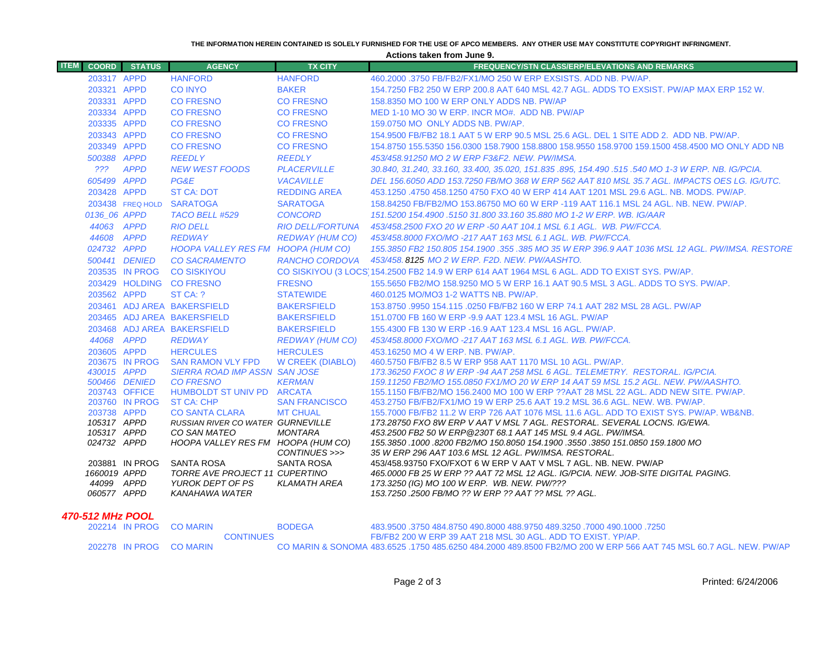#### **THE INFORMATION HEREIN CONTAINED IS SOLELY FURNISHED FOR THE USE OF APCO MEMBERS. ANY OTHER USE MAY CONSTITUTE COPYRIGHT INFRINGMENT.**

**Actions taken from June 9.**

| <b>ITEM</b><br><b>COORD</b> | <b>STATUS</b>                | <b>AGENCY</b>                                            | <b>TX CITY</b>                     | <b>FREQUENCY/STN CLASS/ERP/ELEVATIONS AND REMARKS</b>                                                                                                            |
|-----------------------------|------------------------------|----------------------------------------------------------|------------------------------------|------------------------------------------------------------------------------------------------------------------------------------------------------------------|
|                             | 203317 APPD                  | <b>HANFORD</b>                                           | <b>HANFORD</b>                     | 460,2000 .3750 FB/FB2/FX1/MO 250 W ERP EXSISTS, ADD NB, PW/AP.                                                                                                   |
|                             | 203321 APPD                  | <b>CO INYO</b>                                           | <b>BAKER</b>                       | 154,7250 FB2 250 W ERP 200.8 AAT 640 MSL 42.7 AGL. ADDS TO EXSIST, PW/AP MAX ERP 152 W.                                                                          |
|                             | 203331 APPD                  | <b>CO FRESNO</b>                                         | <b>CO FRESNO</b>                   | 158,8350 MO 100 W ERP ONLY ADDS NB, PW/AP                                                                                                                        |
|                             | 203334 APPD                  | <b>CO FRESNO</b>                                         | <b>CO FRESNO</b>                   | MED 1-10 MO 30 W ERP. INCR MO#. ADD NB. PW/AP                                                                                                                    |
|                             | 203335 APPD                  | <b>CO FRESNO</b>                                         | <b>CO FRESNO</b>                   | 159.0750 MO ONLY ADDS NB, PW/AP.                                                                                                                                 |
|                             | 203343 APPD                  | <b>CO FRESNO</b>                                         | <b>CO FRESNO</b>                   | 154,9500 FB/FB2 18.1 AAT 5 W ERP 90.5 MSL 25.6 AGL, DEL 1 SITE ADD 2. ADD NB, PW/AP.                                                                             |
|                             | 203349 APPD                  | <b>CO FRESNO</b>                                         | <b>CO FRESNO</b>                   | 154.8750 155.5350 156.0300 158.7900 158.8800 158.9550 158.9700 159.1500 458.4500 MO ONLY ADD NB                                                                  |
|                             | 500388 APPD                  | <b>REEDLY</b>                                            | <b>REEDLY</b>                      | 453/458.91250 MO 2 W ERP F3&F2. NEW. PW/IMSA.                                                                                                                    |
| ???                         | <b>APPD</b>                  | <b>NEW WEST FOODS</b>                                    | <b>PLACERVILLE</b>                 | .30.840, 31.240, 33.160, 33.400, 35.020, 151.835 .895, 154.490 .515 .540 MO 1-3 W ERP. NB. IG/PCIA                                                               |
|                             | 605499 APPD                  | PG&E                                                     | <b>VACAVILLE</b>                   | DEL 156.6050 ADD 153.7250 FB/MO 368 W ERP 562 AAT 810 MSL 35.7 AGL. IMPACTS OES LG, IG/UTC.                                                                      |
|                             | 203428 APPD                  | <b>ST CA: DOT</b>                                        | <b>REDDING AREA</b>                | 453.1250 .4750 458.1250 4750 FXO 40 W ERP 414 AAT 1201 MSL 29.6 AGL, NB, MODS, PW/AP,                                                                            |
|                             | 203438 FREQ HOLD             | <b>SARATOGA</b>                                          | <b>SARATOGA</b>                    | 158.84250 FB/FB2/MO 153.86750 MO 60 W ERP -119 AAT 116.1 MSL 24 AGL. NB. NEW. PW/AP.                                                                             |
|                             | 0136_06 APPD                 | TACO BELL #529                                           | <b>CONCORD</b>                     | 151.5200 154.4900 .5150 31.800 33.160 35.880 MO 1-2 W ERP, WB, IG/AAR                                                                                            |
|                             | 44063 APPD                   | <b>RIO DELL</b>                                          | <b>RIO DELL/FORTUNA</b>            | 453/458.2500 FXO 20 W ERP -50 AAT 104.1 MSL 6.1 AGL. WB. PW/FCCA.                                                                                                |
|                             | 44608 APPD                   | <b>REDWAY</b>                                            | <b>REDWAY (HUM CO)</b>             | 453/458.8000 FXO/MO -217 AAT 163 MSL 6.1 AGL, WB, PW/FCCA,                                                                                                       |
|                             | 024732 APPD                  | HOOPA VALLEY RES FM HOOPA (HUM CO)                       |                                    | 155.3850 FB2 150.805 154.1900 .355 .385 MO 35 W ERP 396.9 AAT 1036 MSL 12 AGL. PW/IMSA. RESTORE                                                                  |
|                             | 500441 DENIED                | <b>CO SACRAMENTO</b>                                     | <b>RANCHO CORDOVA</b>              | 453/458, 8125 MO 2 W ERP, F2D, NEW, PW/AASHTO,                                                                                                                   |
|                             | 203535 IN PROG               | <b>CO SISKIYOU</b>                                       |                                    | CO SISKIYOU (3 LOCS 154.2500 FB2 14.9 W ERP 614 AAT 1964 MSL 6 AGL. ADD TO EXIST SYS. PW/AP.                                                                     |
|                             |                              | 203429 HOLDING CO FRESNO                                 | <b>FRESNO</b>                      | 155.5650 FB2/MO 158.9250 MO 5 W ERP 16.1 AAT 90.5 MSL 3 AGL. ADDS TO SYS. PW/AP.                                                                                 |
|                             | 203562 APPD                  | ST CA: ?                                                 | <b>STATEWIDE</b>                   | 460.0125 MO/MO3 1-2 WATTS NB, PW/AP.                                                                                                                             |
|                             |                              | 203461 ADJ AREA BAKERSFIELD                              | <b>BAKERSFIELD</b>                 | 153.8750 .9950 154.115 .0250 FB/FB2 160 W ERP 74.1 AAT 282 MSL 28 AGL. PW/AP                                                                                     |
|                             |                              | 203465 ADJ AREA BAKERSFIELD                              | <b>BAKERSFIELD</b>                 | 151,0700 FB 160 W ERP -9.9 AAT 123.4 MSL 16 AGL, PW/AP                                                                                                           |
|                             |                              | 203468 ADJ AREA BAKERSFIELD                              | <b>BAKERSFIELD</b>                 | 155,4300 FB 130 W ERP -16.9 AAT 123.4 MSL 16 AGL, PW/AP.                                                                                                         |
|                             | 44068 APPD                   | <b>REDWAY</b>                                            | <b>REDWAY (HUM CO)</b>             | 453/458.8000 FXO/MO -217 AAT 163 MSL 6.1 AGL. WB. PW/FCCA.                                                                                                       |
|                             | 203605 APPD                  | <b>HERCULES</b>                                          | <b>HERCULES</b>                    | 453.16250 MO 4 W ERP. NB. PW/AP.                                                                                                                                 |
|                             | 203675 IN PROG               | <b>SAN RAMON VLY FPD</b>                                 | <b>W CREEK (DIABLO)</b>            | 460.5750 FB/FB2 8.5 W ERP 958 AAT 1170 MSL 10 AGL, PW/AP.                                                                                                        |
|                             | 430015 APPD<br>500466 DENIED | <b>SIERRA ROAD IMP ASSN SAN JOSE</b><br><b>CO FRESNO</b> | <b>KERMAN</b>                      | 173.36250 FXOC 8 W ERP -94 AAT 258 MSL 6 AGL. TELEMETRY. RESTORAL. IG/PCIA.<br>159.11250 FB2/MO 155.0850 FX1/MO 20 W ERP 14 AAT 59 MSL 15.2 AGL. NEW. PW/AASHTO. |
|                             | 203743 OFFICE                | HUMBOLDT ST UNIV PD ARCATA                               |                                    | 155.1150 FB/FB2/MO 156.2400 MO 100 W ERP ??AAT 28 MSL 22 AGL. ADD NEW SITE. PW/AP.                                                                               |
|                             | 203760 IN PROG               | ST CA: CHP                                               | <b>SAN FRANCISCO</b>               | 453.2750 FB/FB2/FX1/MO 19 W ERP 25.6 AAT 19.2 MSL 36.6 AGL, NEW, WB, PW/AP,                                                                                      |
|                             | 203738 APPD                  | <b>CO SANTA CLARA</b>                                    | <b>MT CHUAL</b>                    | 155.7000 FB/FB2 11.2 W ERP 726 AAT 1076 MSL 11.6 AGL. ADD TO EXIST SYS. PW/AP. WB&NB.                                                                            |
|                             | 105317 APPD                  | RUSSIAN RIVER CO WATER GURNEVILLE                        |                                    | 173.28750 FXO 8W ERP V AAT V MSL 7 AGL. RESTORAL. SEVERAL LOCNS. IG/EWA.                                                                                         |
|                             | 105317 APPD                  | CO SAN MATEO                                             | <b>MONTARA</b>                     | 453.2500 FB2 50 W ERP @230T 68.1 AAT 145 MSL 9.4 AGL. PW/IMSA.                                                                                                   |
|                             | 024732 APPD                  | HOOPA VALLEY RES FM HOOPA (HUM CO)                       |                                    | 155.3850 .1000 .8200 FB2/MO 150.8050 154.1900 .3550 .3850 151.0850 159.1800 MO                                                                                   |
|                             | 203881 IN PROG               | <b>SANTA ROSA</b>                                        | CONTINUES >>><br><b>SANTA ROSA</b> | 35 W ERP 296 AAT 103.6 MSL 12 AGL. PW/IMSA. RESTORAL.<br>453/458.93750 FXO/FXOT 6 W ERP V AAT V MSL 7 AGL. NB. NEW. PW/AP                                        |
|                             | 1660019 APPD                 | TORRE AVE PROJECT 11 CUPERTINO                           |                                    | 465.0000 FB 25 W ERP ?? AAT 72 MSL 12 AGL. IG/PCIA. NEW. JOB-SITE DIGITAL PAGING.                                                                                |
|                             | 44099 APPD                   | YUROK DEPT OF PS                                         | <b>KLAMATH AREA</b>                | 173.3250 (IG) MO 100 W ERP. WB. NEW. PW/???                                                                                                                      |
|                             | 060577 APPD                  | KANAHAWA WATER                                           |                                    | 153.7250 .2500 FB/MO ?? W ERP ?? AAT ?? MSL ?? AGL.                                                                                                              |
|                             |                              |                                                          |                                    |                                                                                                                                                                  |

### *470-512 MHz POOL*

|  | 202214 IN PROG CO MARIN | <b>BODEGA</b>    | 483.9500 .3750 484.8750 490.8000 488.9750 489.3250 .7000 490.1000 .7250                                           |
|--|-------------------------|------------------|-------------------------------------------------------------------------------------------------------------------|
|  |                         | <b>CONTINUES</b> | FB/FB2 200 W ERP 39 AAT 218 MSL 30 AGL, ADD TO EXIST, YP/AP.                                                      |
|  | 202278 IN PROG CO MARIN |                  | CO MARIN & SONOMA 483,6525, 1750 485,6250 484,2000 489,8500 FB2/MO 200 W ERP 566 AAT 745 MSL 60.7 AGL. NEW, PW/AP |